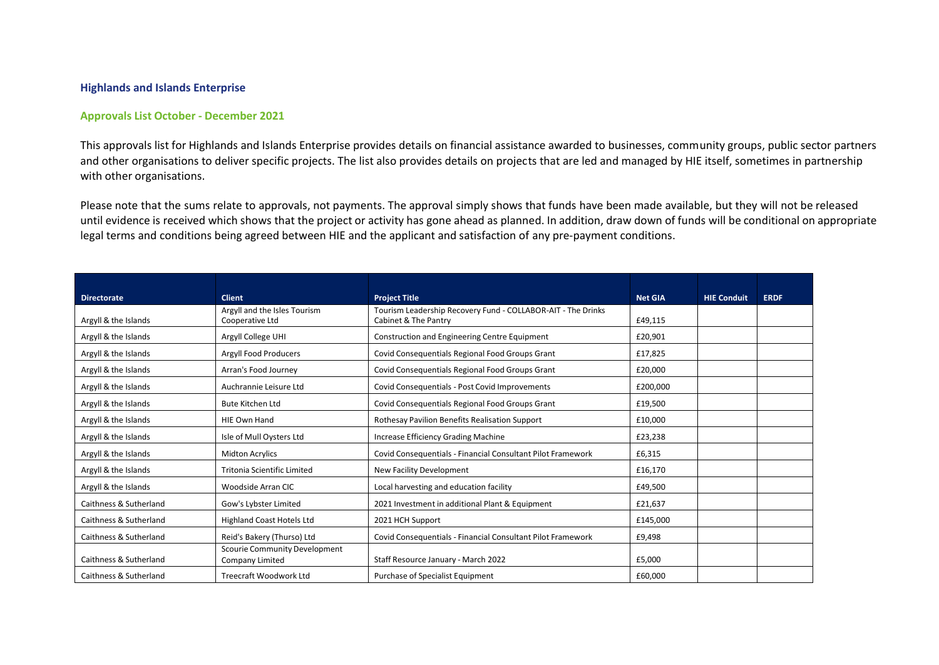## **Highlands and Islands Enterprise**

## **Approvals List October - December 2021**

This approvals list for Highlands and Islands Enterprise provides details on financial assistance awarded to businesses, community groups, public sector partners and other organisations to deliver specific projects. The list also provides details on projects that are led and managed by HIE itself, sometimes in partnership with other organisations.

Please note that the sums relate to approvals, not payments. The approval simply shows that funds have been made available, but they will not be released until evidence is received which shows that the project or activity has gone ahead as planned. In addition, draw down of funds will be conditional on appropriate legal terms and conditions being agreed between HIE and the applicant and satisfaction of any pre-payment conditions.

|                        | <b>Client</b>                                           |                                                                                      | <b>Net GIA</b> |                    |             |
|------------------------|---------------------------------------------------------|--------------------------------------------------------------------------------------|----------------|--------------------|-------------|
| <b>Directorate</b>     | Argyll and the Isles Tourism                            | <b>Project Title</b><br>Tourism Leadership Recovery Fund - COLLABOR-AIT - The Drinks |                | <b>HIE Conduit</b> | <b>ERDF</b> |
| Argyll & the Islands   | Cooperative Ltd                                         | Cabinet & The Pantry                                                                 | £49,115        |                    |             |
| Argyll & the Islands   | Argyll College UHI                                      | Construction and Engineering Centre Equipment                                        | £20,901        |                    |             |
| Argyll & the Islands   | <b>Argyll Food Producers</b>                            | Covid Consequentials Regional Food Groups Grant                                      | £17,825        |                    |             |
| Argyll & the Islands   | Arran's Food Journey                                    | Covid Consequentials Regional Food Groups Grant                                      | £20,000        |                    |             |
| Argyll & the Islands   | Auchrannie Leisure Ltd                                  | Covid Consequentials - Post Covid Improvements                                       | £200,000       |                    |             |
| Argyll & the Islands   | <b>Bute Kitchen Ltd</b>                                 | Covid Consequentials Regional Food Groups Grant                                      | £19,500        |                    |             |
| Argyll & the Islands   | <b>HIE Own Hand</b>                                     | Rothesay Pavilion Benefits Realisation Support                                       | £10,000        |                    |             |
| Argyll & the Islands   | Isle of Mull Oysters Ltd                                | Increase Efficiency Grading Machine                                                  | £23,238        |                    |             |
| Argyll & the Islands   | <b>Midton Acrylics</b>                                  | Covid Consequentials - Financial Consultant Pilot Framework                          | £6,315         |                    |             |
| Argyll & the Islands   | <b>Tritonia Scientific Limited</b>                      | New Facility Development                                                             | £16,170        |                    |             |
| Argyll & the Islands   | Woodside Arran CIC                                      | Local harvesting and education facility                                              | £49,500        |                    |             |
| Caithness & Sutherland | Gow's Lybster Limited                                   | 2021 Investment in additional Plant & Equipment                                      | £21,637        |                    |             |
| Caithness & Sutherland | <b>Highland Coast Hotels Ltd</b>                        | 2021 HCH Support                                                                     | £145,000       |                    |             |
| Caithness & Sutherland | Reid's Bakery (Thurso) Ltd                              | Covid Consequentials - Financial Consultant Pilot Framework                          | £9,498         |                    |             |
| Caithness & Sutherland | <b>Scourie Community Development</b><br>Company Limited | Staff Resource January - March 2022                                                  | £5,000         |                    |             |
| Caithness & Sutherland | Treecraft Woodwork Ltd                                  | Purchase of Specialist Equipment                                                     | £60,000        |                    |             |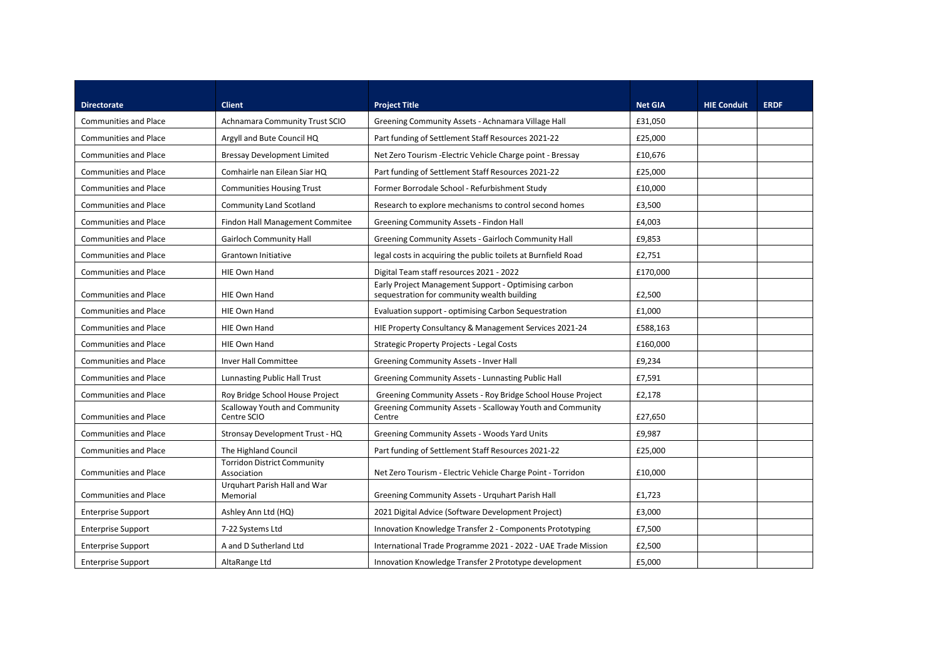| <b>Directorate</b>           | <b>Client</b>                                       | <b>Project Title</b>                                                                                | <b>Net GIA</b> | <b>HIE Conduit</b> | <b>ERDF</b> |
|------------------------------|-----------------------------------------------------|-----------------------------------------------------------------------------------------------------|----------------|--------------------|-------------|
| <b>Communities and Place</b> | Achnamara Community Trust SCIO                      | Greening Community Assets - Achnamara Village Hall                                                  | £31,050        |                    |             |
| <b>Communities and Place</b> | Argyll and Bute Council HQ                          | Part funding of Settlement Staff Resources 2021-22                                                  | £25,000        |                    |             |
| <b>Communities and Place</b> | <b>Bressay Development Limited</b>                  | Net Zero Tourism - Electric Vehicle Charge point - Bressay                                          | £10,676        |                    |             |
| <b>Communities and Place</b> | Comhairle nan Eilean Siar HQ                        | Part funding of Settlement Staff Resources 2021-22                                                  | £25,000        |                    |             |
| <b>Communities and Place</b> | <b>Communities Housing Trust</b>                    | Former Borrodale School - Refurbishment Study                                                       | £10,000        |                    |             |
| <b>Communities and Place</b> | <b>Community Land Scotland</b>                      | Research to explore mechanisms to control second homes                                              | £3,500         |                    |             |
| <b>Communities and Place</b> | Findon Hall Management Commitee                     | Greening Community Assets - Findon Hall                                                             | £4,003         |                    |             |
| <b>Communities and Place</b> | <b>Gairloch Community Hall</b>                      | Greening Community Assets - Gairloch Community Hall                                                 | £9,853         |                    |             |
| <b>Communities and Place</b> | <b>Grantown Initiative</b>                          | legal costs in acquiring the public toilets at Burnfield Road                                       | £2,751         |                    |             |
| <b>Communities and Place</b> | HIE Own Hand                                        | Digital Team staff resources 2021 - 2022                                                            | £170,000       |                    |             |
| <b>Communities and Place</b> | HIE Own Hand                                        | Early Project Management Support - Optimising carbon<br>sequestration for community wealth building | £2,500         |                    |             |
| <b>Communities and Place</b> | HIE Own Hand                                        | Evaluation support - optimising Carbon Sequestration                                                | £1,000         |                    |             |
| <b>Communities and Place</b> | HIE Own Hand                                        | HIE Property Consultancy & Management Services 2021-24                                              | £588,163       |                    |             |
| <b>Communities and Place</b> | HIE Own Hand                                        | Strategic Property Projects - Legal Costs                                                           | £160,000       |                    |             |
| <b>Communities and Place</b> | Inver Hall Committee                                | Greening Community Assets - Inver Hall                                                              | £9,234         |                    |             |
| <b>Communities and Place</b> | <b>Lunnasting Public Hall Trust</b>                 | Greening Community Assets - Lunnasting Public Hall                                                  | £7,591         |                    |             |
| <b>Communities and Place</b> | Roy Bridge School House Project                     | Greening Community Assets - Roy Bridge School House Project                                         | £2,178         |                    |             |
| <b>Communities and Place</b> | <b>Scalloway Youth and Community</b><br>Centre SCIO | Greening Community Assets - Scalloway Youth and Community<br>Centre                                 | £27,650        |                    |             |
| <b>Communities and Place</b> | Stronsay Development Trust - HQ                     | Greening Community Assets - Woods Yard Units                                                        | £9,987         |                    |             |
| <b>Communities and Place</b> | The Highland Council                                | Part funding of Settlement Staff Resources 2021-22                                                  | £25,000        |                    |             |
| <b>Communities and Place</b> | <b>Torridon District Community</b><br>Association   | Net Zero Tourism - Electric Vehicle Charge Point - Torridon                                         | £10,000        |                    |             |
| <b>Communities and Place</b> | Urquhart Parish Hall and War<br>Memorial            | Greening Community Assets - Urquhart Parish Hall                                                    | £1,723         |                    |             |
| <b>Enterprise Support</b>    | Ashley Ann Ltd (HQ)                                 | 2021 Digital Advice (Software Development Project)                                                  | £3,000         |                    |             |
| <b>Enterprise Support</b>    | 7-22 Systems Ltd                                    | Innovation Knowledge Transfer 2 - Components Prototyping                                            | £7,500         |                    |             |
| <b>Enterprise Support</b>    | A and D Sutherland Ltd                              | International Trade Programme 2021 - 2022 - UAE Trade Mission                                       | £2,500         |                    |             |
| <b>Enterprise Support</b>    | AltaRange Ltd                                       | Innovation Knowledge Transfer 2 Prototype development                                               | £5,000         |                    |             |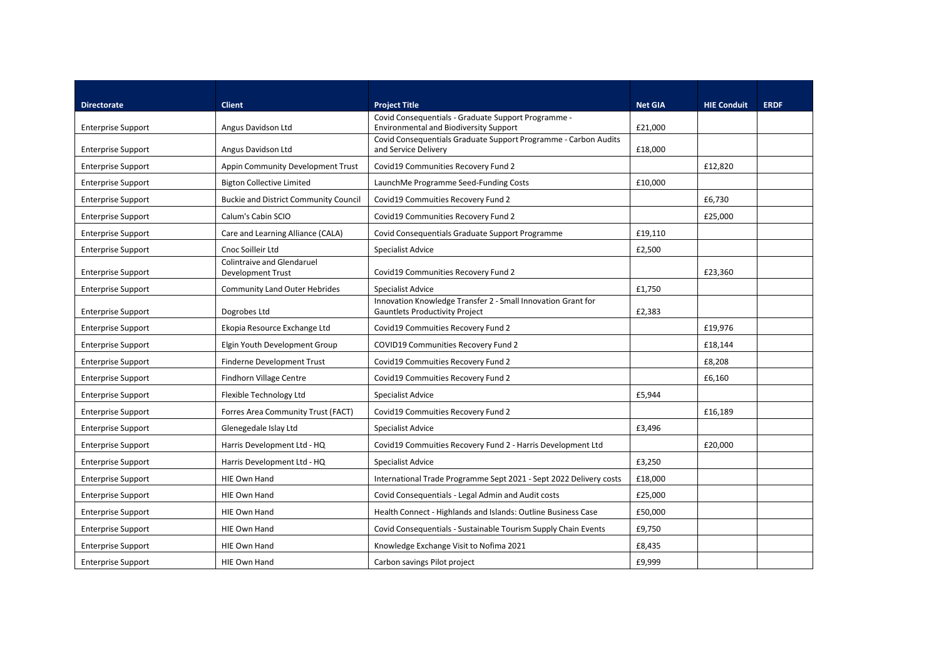| <b>Directorate</b>        | <b>Client</b>                                                 | <b>Project Title</b>                                                                                  | <b>Net GIA</b> | <b>HIE Conduit</b> | <b>ERDF</b> |
|---------------------------|---------------------------------------------------------------|-------------------------------------------------------------------------------------------------------|----------------|--------------------|-------------|
| <b>Enterprise Support</b> | Angus Davidson Ltd                                            | Covid Consequentials - Graduate Support Programme -<br><b>Environmental and Biodiversity Support</b>  | £21,000        |                    |             |
| <b>Enterprise Support</b> | Angus Davidson Ltd                                            | Covid Consequentials Graduate Support Programme - Carbon Audits<br>and Service Delivery               | £18,000        |                    |             |
| <b>Enterprise Support</b> | Appin Community Development Trust                             | Covid19 Communities Recovery Fund 2                                                                   |                | £12,820            |             |
| <b>Enterprise Support</b> | <b>Bigton Collective Limited</b>                              | LaunchMe Programme Seed-Funding Costs                                                                 | £10,000        |                    |             |
| <b>Enterprise Support</b> | <b>Buckie and District Community Council</b>                  | Covid19 Commuities Recovery Fund 2                                                                    |                | £6,730             |             |
| <b>Enterprise Support</b> | Calum's Cabin SCIO                                            | Covid19 Communities Recovery Fund 2                                                                   |                | £25,000            |             |
| <b>Enterprise Support</b> | Care and Learning Alliance (CALA)                             | Covid Consequentials Graduate Support Programme                                                       | £19,110        |                    |             |
| <b>Enterprise Support</b> | Cnoc Soilleir Ltd                                             | Specialist Advice                                                                                     | £2,500         |                    |             |
| <b>Enterprise Support</b> | <b>Colintraive and Glendaruel</b><br><b>Development Trust</b> | Covid19 Communities Recovery Fund 2                                                                   |                | £23,360            |             |
| <b>Enterprise Support</b> | <b>Community Land Outer Hebrides</b>                          | Specialist Advice                                                                                     | £1,750         |                    |             |
| <b>Enterprise Support</b> | Dogrobes Ltd                                                  | Innovation Knowledge Transfer 2 - Small Innovation Grant for<br><b>Gauntlets Productivity Project</b> | £2,383         |                    |             |
| <b>Enterprise Support</b> | Ekopia Resource Exchange Ltd                                  | Covid19 Commuities Recovery Fund 2                                                                    |                | £19,976            |             |
| <b>Enterprise Support</b> | Elgin Youth Development Group                                 | COVID19 Communities Recovery Fund 2                                                                   |                | £18,144            |             |
| <b>Enterprise Support</b> | <b>Finderne Development Trust</b>                             | Covid19 Commuities Recovery Fund 2                                                                    |                | £8,208             |             |
| <b>Enterprise Support</b> | Findhorn Village Centre                                       | Covid19 Commuities Recovery Fund 2                                                                    |                | £6,160             |             |
| <b>Enterprise Support</b> | Flexible Technology Ltd                                       | <b>Specialist Advice</b>                                                                              | £5,944         |                    |             |
| <b>Enterprise Support</b> | Forres Area Community Trust (FACT)                            | Covid19 Commuities Recovery Fund 2                                                                    |                | £16,189            |             |
| <b>Enterprise Support</b> | Glenegedale Islay Ltd                                         | Specialist Advice                                                                                     | £3,496         |                    |             |
| <b>Enterprise Support</b> | Harris Development Ltd - HQ                                   | Covid19 Commuities Recovery Fund 2 - Harris Development Ltd                                           |                | £20,000            |             |
| <b>Enterprise Support</b> | Harris Development Ltd - HQ                                   | Specialist Advice                                                                                     | £3,250         |                    |             |
| <b>Enterprise Support</b> | <b>HIE Own Hand</b>                                           | International Trade Programme Sept 2021 - Sept 2022 Delivery costs                                    | £18,000        |                    |             |
| <b>Enterprise Support</b> | HIE Own Hand                                                  | Covid Consequentials - Legal Admin and Audit costs                                                    | £25,000        |                    |             |
| <b>Enterprise Support</b> | HIE Own Hand                                                  | Health Connect - Highlands and Islands: Outline Business Case                                         | £50,000        |                    |             |
| <b>Enterprise Support</b> | <b>HIE Own Hand</b>                                           | Covid Consequentials - Sustainable Tourism Supply Chain Events                                        | £9,750         |                    |             |
| <b>Enterprise Support</b> | HIE Own Hand                                                  | Knowledge Exchange Visit to Nofima 2021                                                               | £8,435         |                    |             |
| <b>Enterprise Support</b> | HIE Own Hand                                                  | Carbon savings Pilot project                                                                          | £9,999         |                    |             |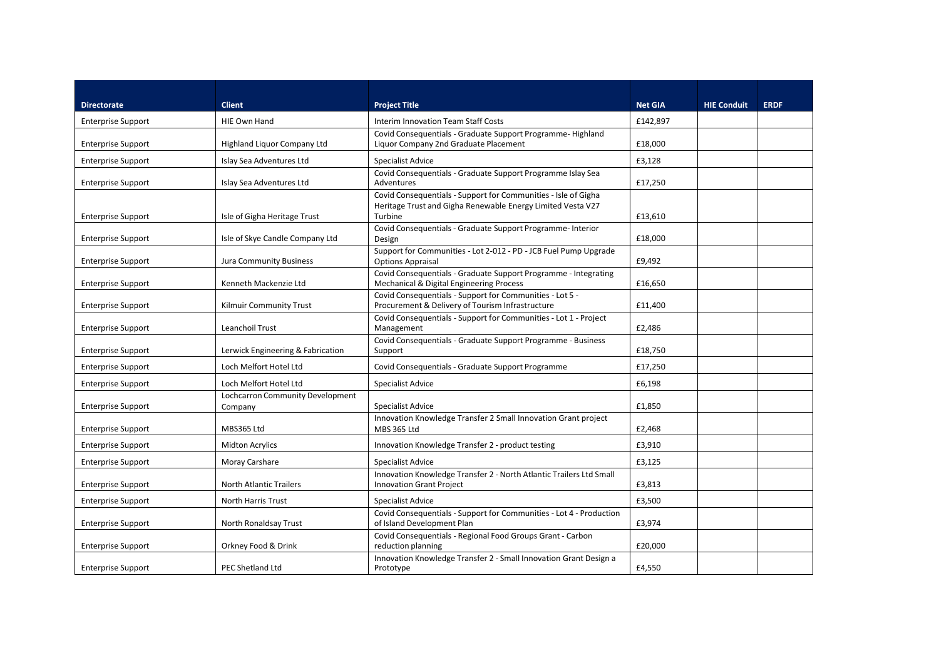| <b>Directorate</b>        | <b>Client</b>                               | <b>Project Title</b>                                                                                                                     | <b>Net GIA</b> | <b>HIE Conduit</b> | <b>ERDF</b> |
|---------------------------|---------------------------------------------|------------------------------------------------------------------------------------------------------------------------------------------|----------------|--------------------|-------------|
| <b>Enterprise Support</b> | HIE Own Hand                                | Interim Innovation Team Staff Costs                                                                                                      | £142.897       |                    |             |
| <b>Enterprise Support</b> | Highland Liquor Company Ltd                 | Covid Consequentials - Graduate Support Programme-Highland<br>Liquor Company 2nd Graduate Placement                                      | £18,000        |                    |             |
| <b>Enterprise Support</b> | Islay Sea Adventures Ltd                    | Specialist Advice                                                                                                                        | £3,128         |                    |             |
| <b>Enterprise Support</b> | Islay Sea Adventures Ltd                    | Covid Consequentials - Graduate Support Programme Islay Sea<br>Adventures                                                                | £17,250        |                    |             |
| <b>Enterprise Support</b> | Isle of Gigha Heritage Trust                | Covid Consequentials - Support for Communities - Isle of Gigha<br>Heritage Trust and Gigha Renewable Energy Limited Vesta V27<br>Turbine | £13,610        |                    |             |
| <b>Enterprise Support</b> | Isle of Skye Candle Company Ltd             | Covid Consequentials - Graduate Support Programme- Interior<br>Design                                                                    | £18,000        |                    |             |
| <b>Enterprise Support</b> | <b>Jura Community Business</b>              | Support for Communities - Lot 2-012 - PD - JCB Fuel Pump Upgrade<br><b>Options Appraisal</b>                                             | £9,492         |                    |             |
| <b>Enterprise Support</b> | Kenneth Mackenzie Ltd                       | Covid Consequentials - Graduate Support Programme - Integrating<br>Mechanical & Digital Engineering Process                              | £16,650        |                    |             |
| <b>Enterprise Support</b> | Kilmuir Community Trust                     | Covid Consequentials - Support for Communities - Lot 5 -<br>Procurement & Delivery of Tourism Infrastructure                             | £11,400        |                    |             |
| <b>Enterprise Support</b> | Leanchoil Trust                             | Covid Consequentials - Support for Communities - Lot 1 - Project<br>Management                                                           | £2,486         |                    |             |
| <b>Enterprise Support</b> | Lerwick Engineering & Fabrication           | Covid Consequentials - Graduate Support Programme - Business<br>Support                                                                  | £18,750        |                    |             |
| <b>Enterprise Support</b> | Loch Melfort Hotel Ltd                      | Covid Consequentials - Graduate Support Programme                                                                                        | £17,250        |                    |             |
| <b>Enterprise Support</b> | Loch Melfort Hotel Ltd                      | <b>Specialist Advice</b>                                                                                                                 | £6,198         |                    |             |
| <b>Enterprise Support</b> | Lochcarron Community Development<br>Company | Specialist Advice                                                                                                                        | £1,850         |                    |             |
| <b>Enterprise Support</b> | MBS365 Ltd                                  | Innovation Knowledge Transfer 2 Small Innovation Grant project<br>MBS 365 Ltd                                                            | £2,468         |                    |             |
| <b>Enterprise Support</b> | <b>Midton Acrylics</b>                      | Innovation Knowledge Transfer 2 - product testing                                                                                        | £3,910         |                    |             |
| <b>Enterprise Support</b> | Moray Carshare                              | Specialist Advice                                                                                                                        | £3,125         |                    |             |
| <b>Enterprise Support</b> | <b>North Atlantic Trailers</b>              | Innovation Knowledge Transfer 2 - North Atlantic Trailers Ltd Small<br><b>Innovation Grant Project</b>                                   | £3,813         |                    |             |
| <b>Enterprise Support</b> | <b>North Harris Trust</b>                   | Specialist Advice                                                                                                                        | £3,500         |                    |             |
| <b>Enterprise Support</b> | North Ronaldsay Trust                       | Covid Consequentials - Support for Communities - Lot 4 - Production<br>of Island Development Plan                                        | £3,974         |                    |             |
| <b>Enterprise Support</b> | Orkney Food & Drink                         | Covid Consequentials - Regional Food Groups Grant - Carbon<br>reduction planning                                                         | £20.000        |                    |             |
| <b>Enterprise Support</b> | PEC Shetland Ltd                            | Innovation Knowledge Transfer 2 - Small Innovation Grant Design a<br>Prototype                                                           | £4,550         |                    |             |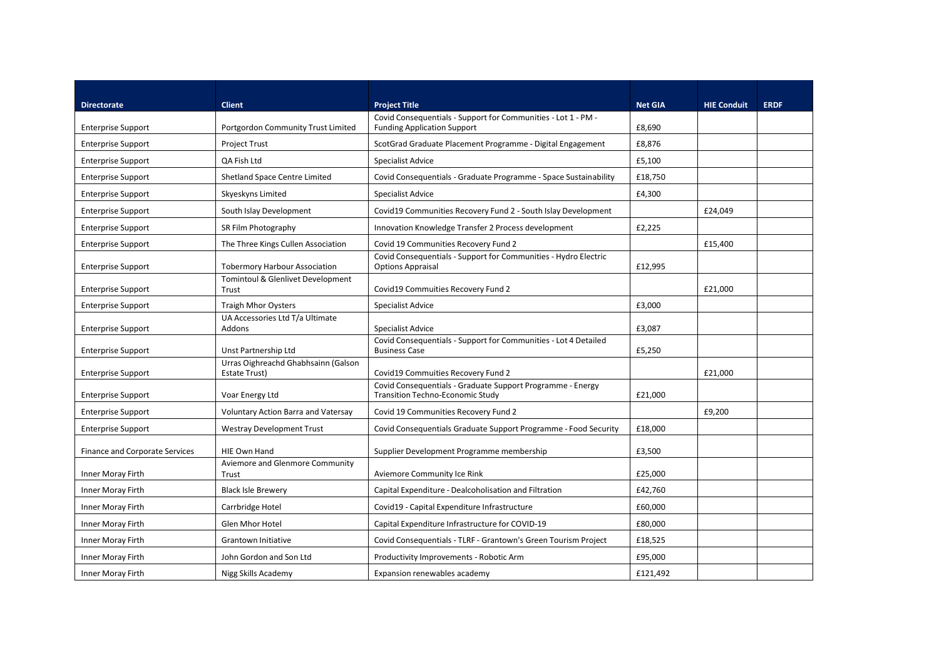| <b>Directorate</b>                    | <b>Client</b>                                        | <b>Project Title</b>                                                                                  | <b>Net GIA</b> | <b>HIE Conduit</b> | <b>ERDF</b> |
|---------------------------------------|------------------------------------------------------|-------------------------------------------------------------------------------------------------------|----------------|--------------------|-------------|
| <b>Enterprise Support</b>             | Portgordon Community Trust Limited                   | Covid Consequentials - Support for Communities - Lot 1 - PM -<br><b>Funding Application Support</b>   | £8,690         |                    |             |
| <b>Enterprise Support</b>             | <b>Project Trust</b>                                 | ScotGrad Graduate Placement Programme - Digital Engagement                                            | £8,876         |                    |             |
| <b>Enterprise Support</b>             | QA Fish Ltd                                          | Specialist Advice                                                                                     | £5,100         |                    |             |
| <b>Enterprise Support</b>             | Shetland Space Centre Limited                        | Covid Consequentials - Graduate Programme - Space Sustainability                                      | £18,750        |                    |             |
| <b>Enterprise Support</b>             | Skyeskyns Limited                                    | Specialist Advice                                                                                     | £4,300         |                    |             |
| <b>Enterprise Support</b>             | South Islay Development                              | Covid19 Communities Recovery Fund 2 - South Islay Development                                         |                | £24,049            |             |
| <b>Enterprise Support</b>             | SR Film Photography                                  | Innovation Knowledge Transfer 2 Process development                                                   | £2,225         |                    |             |
| <b>Enterprise Support</b>             | The Three Kings Cullen Association                   | Covid 19 Communities Recovery Fund 2                                                                  |                | £15,400            |             |
| <b>Enterprise Support</b>             | <b>Tobermory Harbour Association</b>                 | Covid Consequentials - Support for Communities - Hydro Electric<br><b>Options Appraisal</b>           | £12,995        |                    |             |
| <b>Enterprise Support</b>             | Tomintoul & Glenlivet Development<br>Trust           | Covid19 Commuities Recovery Fund 2                                                                    |                | £21,000            |             |
| <b>Enterprise Support</b>             | <b>Traigh Mhor Oysters</b>                           | Specialist Advice                                                                                     | £3,000         |                    |             |
| <b>Enterprise Support</b>             | UA Accessories Ltd T/a Ultimate<br>Addons            | Specialist Advice                                                                                     | £3,087         |                    |             |
| <b>Enterprise Support</b>             | Unst Partnership Ltd                                 | Covid Consequentials - Support for Communities - Lot 4 Detailed<br><b>Business Case</b>               | £5,250         |                    |             |
| <b>Enterprise Support</b>             | Urras Oighreachd Ghabhsainn (Galson<br>Estate Trust) | Covid19 Commuities Recovery Fund 2                                                                    |                | £21,000            |             |
| <b>Enterprise Support</b>             | Voar Energy Ltd                                      | Covid Consequentials - Graduate Support Programme - Energy<br><b>Transition Techno-Economic Study</b> | £21,000        |                    |             |
| <b>Enterprise Support</b>             | <b>Voluntary Action Barra and Vatersay</b>           | Covid 19 Communities Recovery Fund 2                                                                  |                | £9,200             |             |
| <b>Enterprise Support</b>             | <b>Westray Development Trust</b>                     | Covid Consequentials Graduate Support Programme - Food Security                                       | £18,000        |                    |             |
| <b>Finance and Corporate Services</b> | <b>HIE Own Hand</b>                                  | Supplier Development Programme membership                                                             | £3,500         |                    |             |
| Inner Moray Firth                     | Aviemore and Glenmore Community<br>Trust             | Aviemore Community Ice Rink                                                                           | £25,000        |                    |             |
| Inner Moray Firth                     | <b>Black Isle Brewery</b>                            | Capital Expenditure - Dealcoholisation and Filtration                                                 | £42,760        |                    |             |
| Inner Moray Firth                     | Carrbridge Hotel                                     | Covid19 - Capital Expenditure Infrastructure                                                          | £60,000        |                    |             |
| Inner Moray Firth                     | <b>Glen Mhor Hotel</b>                               | Capital Expenditure Infrastructure for COVID-19                                                       | £80,000        |                    |             |
| Inner Moray Firth                     | <b>Grantown Initiative</b>                           | Covid Consequentials - TLRF - Grantown's Green Tourism Project                                        | £18,525        |                    |             |
| Inner Moray Firth                     | John Gordon and Son Ltd                              | Productivity Improvements - Robotic Arm                                                               | £95,000        |                    |             |
| Inner Moray Firth                     | Nigg Skills Academy                                  | Expansion renewables academy                                                                          | £121.492       |                    |             |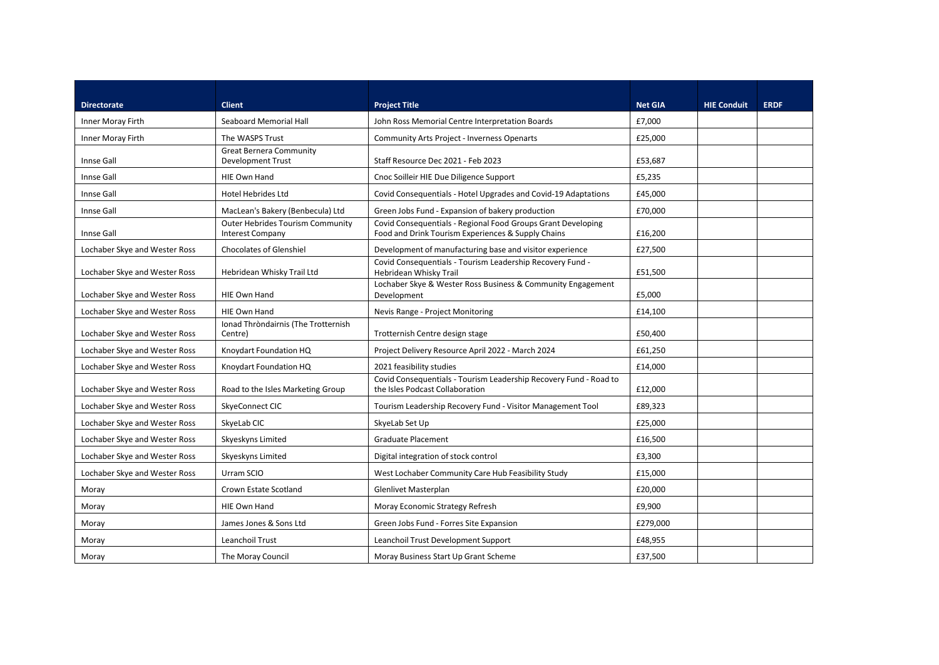| <b>Directorate</b>            | <b>Client</b>                                               | <b>Project Title</b>                                                                                               | <b>Net GIA</b> | <b>HIE Conduit</b> | <b>ERDF</b> |
|-------------------------------|-------------------------------------------------------------|--------------------------------------------------------------------------------------------------------------------|----------------|--------------------|-------------|
| Inner Moray Firth             | Seaboard Memorial Hall                                      | John Ross Memorial Centre Interpretation Boards                                                                    | £7,000         |                    |             |
| Inner Moray Firth             | The WASPS Trust                                             | <b>Community Arts Project - Inverness Openarts</b>                                                                 | £25,000        |                    |             |
| Innse Gall                    | <b>Great Bernera Community</b><br><b>Development Trust</b>  | Staff Resource Dec 2021 - Feb 2023                                                                                 | £53,687        |                    |             |
| Innse Gall                    | HIE Own Hand                                                | Cnoc Soilleir HIE Due Diligence Support                                                                            | £5,235         |                    |             |
| Innse Gall                    | Hotel Hebrides Ltd                                          | Covid Consequentials - Hotel Upgrades and Covid-19 Adaptations                                                     | £45,000        |                    |             |
| Innse Gall                    | MacLean's Bakery (Benbecula) Ltd                            | Green Jobs Fund - Expansion of bakery production                                                                   | £70,000        |                    |             |
| Innse Gall                    | Outer Hebrides Tourism Community<br><b>Interest Company</b> | Covid Consequentials - Regional Food Groups Grant Developing<br>Food and Drink Tourism Experiences & Supply Chains | £16,200        |                    |             |
| Lochaber Skye and Wester Ross | Chocolates of Glenshiel                                     | Development of manufacturing base and visitor experience                                                           | £27,500        |                    |             |
| Lochaber Skye and Wester Ross | Hebridean Whisky Trail Ltd                                  | Covid Consequentials - Tourism Leadership Recovery Fund -<br>Hebridean Whisky Trail                                | £51,500        |                    |             |
| Lochaber Skye and Wester Ross | HIE Own Hand                                                | Lochaber Skye & Wester Ross Business & Community Engagement<br>Development                                         | £5,000         |                    |             |
| Lochaber Skye and Wester Ross | HIE Own Hand                                                | Nevis Range - Project Monitoring                                                                                   | £14,100        |                    |             |
| Lochaber Skye and Wester Ross | Ionad Thròndairnis (The Trotternish<br>Centre)              | Trotternish Centre design stage                                                                                    | £50,400        |                    |             |
| Lochaber Skye and Wester Ross | Knoydart Foundation HQ                                      | Project Delivery Resource April 2022 - March 2024                                                                  | £61,250        |                    |             |
| Lochaber Skye and Wester Ross | Knoydart Foundation HQ                                      | 2021 feasibility studies                                                                                           | £14,000        |                    |             |
| Lochaber Skye and Wester Ross | Road to the Isles Marketing Group                           | Covid Consequentials - Tourism Leadership Recovery Fund - Road to<br>the Isles Podcast Collaboration               | £12,000        |                    |             |
| Lochaber Skye and Wester Ross | SkyeConnect CIC                                             | Tourism Leadership Recovery Fund - Visitor Management Tool                                                         | £89,323        |                    |             |
| Lochaber Skye and Wester Ross | SkyeLab CIC                                                 | SkyeLab Set Up                                                                                                     | £25,000        |                    |             |
| Lochaber Skye and Wester Ross | Skyeskyns Limited                                           | <b>Graduate Placement</b>                                                                                          | £16,500        |                    |             |
| Lochaber Skye and Wester Ross | Skyeskyns Limited                                           | Digital integration of stock control                                                                               | £3,300         |                    |             |
| Lochaber Skye and Wester Ross | Urram SCIO                                                  | West Lochaber Community Care Hub Feasibility Study                                                                 | £15,000        |                    |             |
| Moray                         | Crown Estate Scotland                                       | Glenlivet Masterplan                                                                                               | £20,000        |                    |             |
| Moray                         | HIE Own Hand                                                | Moray Economic Strategy Refresh                                                                                    | £9,900         |                    |             |
| Moray                         | James Jones & Sons Ltd                                      | Green Jobs Fund - Forres Site Expansion                                                                            | £279,000       |                    |             |
| Moray                         | Leanchoil Trust                                             | Leanchoil Trust Development Support                                                                                | £48,955        |                    |             |
| Moray                         | The Moray Council                                           | Moray Business Start Up Grant Scheme                                                                               | £37,500        |                    |             |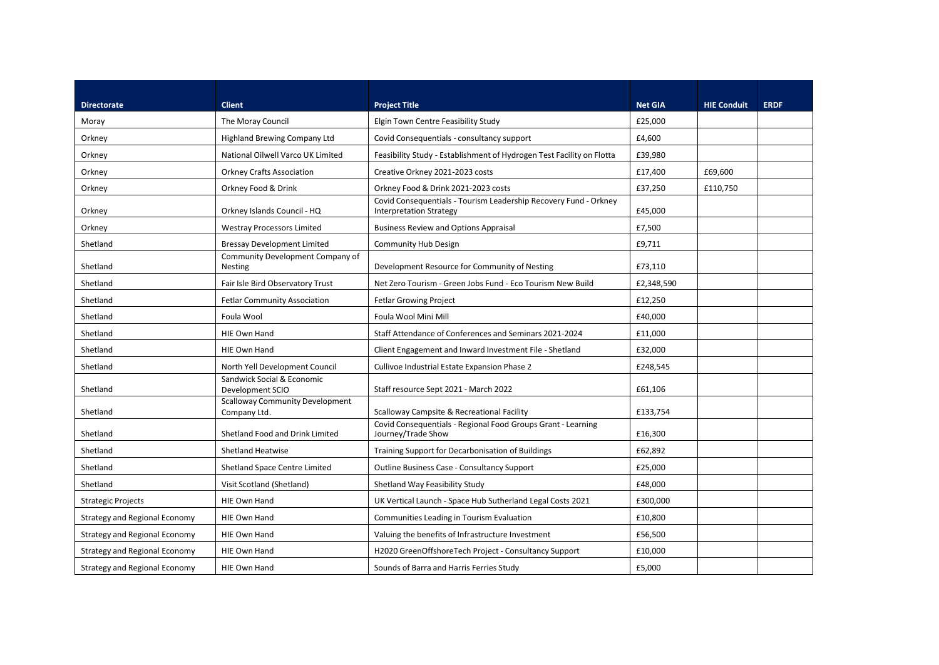| <b>Directorate</b>                   | <b>Client</b>                                          | <b>Project Title</b>                                                                               | <b>Net GIA</b> | <b>HIE Conduit</b> | <b>ERDF</b> |
|--------------------------------------|--------------------------------------------------------|----------------------------------------------------------------------------------------------------|----------------|--------------------|-------------|
| Moray                                | The Moray Council                                      | Elgin Town Centre Feasibility Study                                                                | £25,000        |                    |             |
| Orkney                               | Highland Brewing Company Ltd                           | Covid Consequentials - consultancy support                                                         | £4,600         |                    |             |
| Orkney                               | National Oilwell Varco UK Limited                      | Feasibility Study - Establishment of Hydrogen Test Facility on Flotta                              | £39,980        |                    |             |
| Orkney                               | <b>Orkney Crafts Association</b>                       | Creative Orkney 2021-2023 costs                                                                    | £17,400        | £69,600            |             |
| Orkney                               | Orkney Food & Drink                                    | Orkney Food & Drink 2021-2023 costs                                                                | £37,250        | £110,750           |             |
| Orkney                               | Orkney Islands Council - HQ                            | Covid Consequentials - Tourism Leadership Recovery Fund - Orkney<br><b>Interpretation Strategy</b> | £45,000        |                    |             |
| Orkney                               | <b>Westray Processors Limited</b>                      | <b>Business Review and Options Appraisal</b>                                                       | £7,500         |                    |             |
| Shetland                             | <b>Bressay Development Limited</b>                     | <b>Community Hub Design</b>                                                                        | £9,711         |                    |             |
| Shetland                             | Community Development Company of<br><b>Nesting</b>     | Development Resource for Community of Nesting                                                      | £73,110        |                    |             |
| Shetland                             | Fair Isle Bird Observatory Trust                       | Net Zero Tourism - Green Jobs Fund - Eco Tourism New Build                                         | £2,348,590     |                    |             |
| Shetland                             | <b>Fetlar Community Association</b>                    | <b>Fetlar Growing Project</b>                                                                      | £12,250        |                    |             |
| Shetland                             | Foula Wool                                             | Foula Wool Mini Mill                                                                               | £40,000        |                    |             |
| Shetland                             | <b>HIE Own Hand</b>                                    | Staff Attendance of Conferences and Seminars 2021-2024                                             | £11,000        |                    |             |
| Shetland                             | HIE Own Hand                                           | Client Engagement and Inward Investment File - Shetland                                            | £32,000        |                    |             |
| Shetland                             | North Yell Development Council                         | Cullivoe Industrial Estate Expansion Phase 2                                                       | £248,545       |                    |             |
| Shetland                             | Sandwick Social & Economic<br>Development SCIO         | Staff resource Sept 2021 - March 2022                                                              | £61,106        |                    |             |
| Shetland                             | <b>Scalloway Community Development</b><br>Company Ltd. | Scalloway Campsite & Recreational Facility                                                         | £133,754       |                    |             |
| Shetland                             | Shetland Food and Drink Limited                        | Covid Consequentials - Regional Food Groups Grant - Learning<br>Journey/Trade Show                 | £16,300        |                    |             |
| Shetland                             | <b>Shetland Heatwise</b>                               | Training Support for Decarbonisation of Buildings                                                  | £62,892        |                    |             |
| Shetland                             | Shetland Space Centre Limited                          | <b>Outline Business Case - Consultancy Support</b>                                                 | £25,000        |                    |             |
| Shetland                             | Visit Scotland (Shetland)                              | Shetland Way Feasibility Study                                                                     | £48,000        |                    |             |
| <b>Strategic Projects</b>            | HIE Own Hand                                           | UK Vertical Launch - Space Hub Sutherland Legal Costs 2021                                         | £300,000       |                    |             |
| <b>Strategy and Regional Economy</b> | HIE Own Hand                                           | Communities Leading in Tourism Evaluation                                                          | £10,800        |                    |             |
| <b>Strategy and Regional Economy</b> | <b>HIE Own Hand</b>                                    | Valuing the benefits of Infrastructure Investment                                                  | £56,500        |                    |             |
| <b>Strategy and Regional Economy</b> | <b>HIE Own Hand</b>                                    | H2020 GreenOffshoreTech Project - Consultancy Support                                              | £10,000        |                    |             |
| <b>Strategy and Regional Economy</b> | <b>HIE Own Hand</b>                                    | Sounds of Barra and Harris Ferries Study                                                           | £5,000         |                    |             |